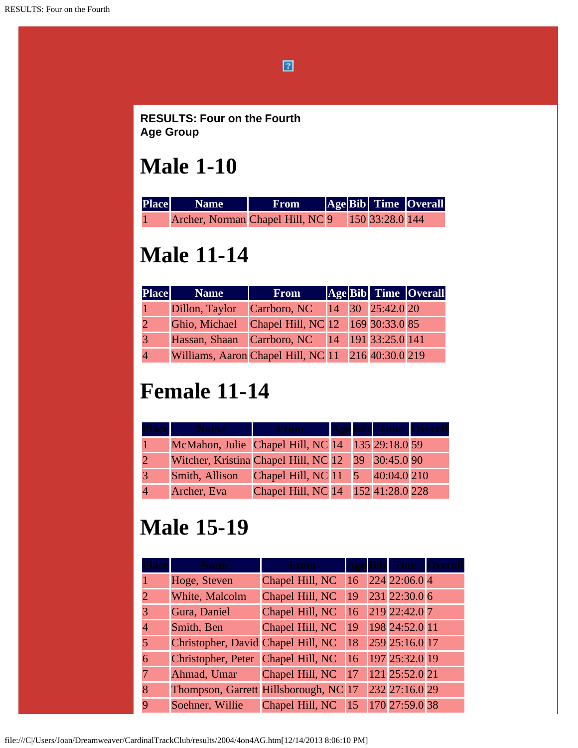$\boxed{2}$ 

**RESULTS: Four on the Fourth Age Group**

### **Male 1-10**

| <b>Place</b> | <b>Name</b>                                      | <b>From</b> |  | AgeBib Time Overall |
|--------------|--------------------------------------------------|-------------|--|---------------------|
|              | Archer, Norman Chapel Hill, NC 9 150 33:28.0 144 |             |  |                     |

# **Male 11-14**

| <b>Place</b> | <b>Name</b>                                        | <b>From</b>                   |  | Age Bib Time Overall |
|--------------|----------------------------------------------------|-------------------------------|--|----------------------|
|              | Dillon, Taylor                                     | Carrboro, NC 14 30 25:42.0 20 |  |                      |
|              | Ghio, Michael Chapel Hill, NC 12 169 30:33.0 85    |                               |  |                      |
|              | Hassan, Shaan Carrboro, NC 14 191 33:25.0 141      |                               |  |                      |
|              | Williams, Aaron Chapel Hill, NC 11 216 40:30.0 219 |                               |  |                      |

# **Female 11-14**

|                                                    |                                    |  | Bibl Time   |  |
|----------------------------------------------------|------------------------------------|--|-------------|--|
| McMahon, Julie Chapel Hill, NC 14 135 29:18.0 59   |                                    |  |             |  |
| Witcher, Kristina Chapel Hill, NC 12 39 30:45.0 90 |                                    |  |             |  |
| Smith, Allison                                     | Chapel Hill, NC 11 5               |  | 40:04.0 210 |  |
| Archer, Eva                                        | Chapel Hill, NC 14 152 41:28.0 228 |  |             |  |

### **Male 15-19**

|   |                                       | Erom            |    |                    |  |
|---|---------------------------------------|-----------------|----|--------------------|--|
|   | Hoge, Steven                          | Chapel Hill, NC |    | $16$ 224 22:06.0 4 |  |
|   | White, Malcolm                        | Chapel Hill, NC | 19 | 231 22:30.0 6      |  |
|   | Gura, Daniel                          | Chapel Hill, NC |    | 16 219 22:42.0 7   |  |
|   | Smith, Ben                            | Chapel Hill, NC | 19 | 198 24:52.0 11     |  |
|   | Christopher, David Chapel Hill, NC    |                 | 18 | 259 25:16.0 17     |  |
| 6 | Christopher, Peter Chapel Hill, NC    |                 | 16 | 197 25:32.0 19     |  |
|   | Ahmad, Umar                           | Chapel Hill, NC | 17 | 121 25:52.0 21     |  |
|   | Thompson, Garrett Hillsborough, NC 17 |                 |    | 232 27:16.0 29     |  |
|   | Soehner, Willie                       | Chapel Hill, NC | 15 | 170 27:59.0 38     |  |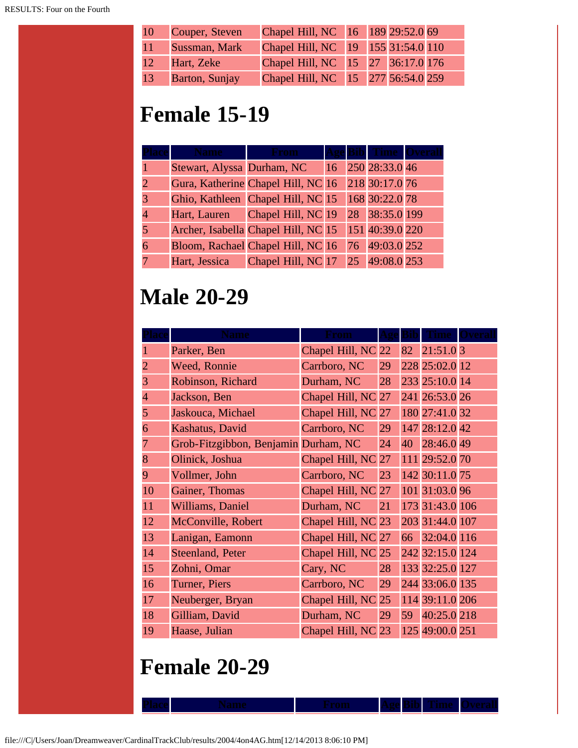| 10 | Couper, Steven | Chapel Hill, NC 16 189 29:52.0 69  |  |  |
|----|----------------|------------------------------------|--|--|
| 11 | Sussman, Mark  | Chapel Hill, NC 19 155 31:54.0 110 |  |  |
| 12 | Hart, Zeke     | Chapel Hill, NC 15 27 36:17.0 176  |  |  |
| 13 | Barton, Sunjay | Chapel Hill, NC 15 277 56:54.0 259 |  |  |

# **Female 15-19**

| lace |                            | <b>Krom</b>                         |               | <b>Bibl</b> | <b>Time</b>     |  |
|------|----------------------------|-------------------------------------|---------------|-------------|-----------------|--|
|      | Stewart, Alyssa Durham, NC |                                     | <sup>16</sup> |             | 250 28:33.0 46  |  |
|      |                            | Gura, Katherine Chapel Hill, NC 16  |               |             | 218 30:17.0 76  |  |
|      |                            | Ghio, Kathleen Chapel Hill, NC 15   |               |             | 168 30:22.0 78  |  |
|      | Hart, Lauren               | Chapel Hill, NC 19                  |               |             | 28 38:35.0 199  |  |
|      |                            | Archer, Isabella Chapel Hill, NC 15 |               |             | 151 40:39.0 220 |  |
|      |                            | Bloom, Rachael Chapel Hill, NC 16   |               |             | 76 49:03.0 252  |  |
|      | Hart, Jessica              | Chapel Hill, NC 17                  |               |             | 25 49:08.0 253  |  |

# **Male 20-29**

|                | <b>Name</b>                          | From               |    |    |                 |  |
|----------------|--------------------------------------|--------------------|----|----|-----------------|--|
|                | Parker, Ben                          | Chapel Hill, NC 22 |    | 82 | 21:51.03        |  |
| $\overline{2}$ | Weed, Ronnie                         | Carrboro, NC       | 29 |    | 228 25:02.0 12  |  |
| 3              | Robinson, Richard                    | Durham, NC         | 28 |    | 233 25:10.0 14  |  |
| $\overline{4}$ | Jackson, Ben                         | Chapel Hill, NC 27 |    |    | 241 26:53.0 26  |  |
| 5              | Jaskouca, Michael                    | Chapel Hill, NC 27 |    |    | 180 27:41.0 32  |  |
| 6              | Kashatus, David                      | Carrboro, NC       | 29 |    | 147 28:12.0 42  |  |
| 7              | Grob-Fitzgibbon, Benjamin Durham, NC |                    | 24 |    | 40 28:46.0 49   |  |
| 8              | Olinick, Joshua                      | Chapel Hill, NC 27 |    |    | 111 29:52.0 70  |  |
| 9              | Vollmer, John                        | Carrboro, NC       | 23 |    | 142 30:11.0 75  |  |
| 10             | Gainer, Thomas                       | Chapel Hill, NC 27 |    |    | 101 31:03.0 96  |  |
| 11             | Williams, Daniel                     | Durham, NC         | 21 |    | 173 31:43.0 106 |  |
| 12             | McConville, Robert                   | Chapel Hill, NC 23 |    |    | 203 31:44.0 107 |  |
| 13             | Lanigan, Eamonn                      | Chapel Hill, NC 27 |    |    | 66 32:04.0 116  |  |
| 14             | Steenland, Peter                     | Chapel Hill, NC 25 |    |    | 242 32:15.0 124 |  |
| 15             | Zohni, Omar                          | Cary, NC           | 28 |    | 133 32:25.0 127 |  |
| 16             | Turner, Piers                        | Carrboro, NC       | 29 |    | 244 33:06.0 135 |  |
| 17             | Neuberger, Bryan                     | Chapel Hill, NC 25 |    |    | 114 39:11.0 206 |  |
| 18             | Gilliam, David                       | Durham, NC         | 29 |    | 59 40:25.0 218  |  |
| 19             | Haase, Julian                        | Chapel Hill, NC 23 |    |    | 125 49:00.0 251 |  |

**Place Name From Age Bib Time Overall**

### **Female 20-29**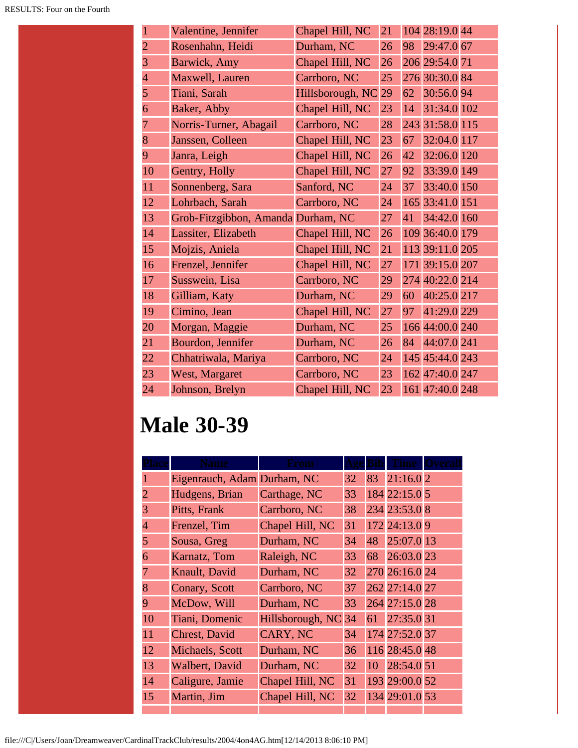|                | Valentine, Jennifer                | Chapel Hill, NC  | 21 |    | 104 28:19.0 44  |  |
|----------------|------------------------------------|------------------|----|----|-----------------|--|
| $\overline{2}$ | Rosenhahn, Heidi                   | Durham, NC       | 26 | 98 | 29:47.0 67      |  |
| 3              | Barwick, Amy                       | Chapel Hill, NC  | 26 |    | 206 29:54.0 71  |  |
| $\overline{4}$ | Maxwell, Lauren                    | Carrboro, NC     | 25 |    | 276 30:30.0 84  |  |
| 5              | Tiani, Sarah                       | Hillsborough, NC | 29 | 62 | 30:56.0 94      |  |
| 6              | Baker, Abby                        | Chapel Hill, NC  | 23 | 14 | 31:34.0 102     |  |
| 7              | Norris-Turner, Abagail             | Carrboro, NC     | 28 |    | 243 31:58.0 115 |  |
| 8              | Janssen, Colleen                   | Chapel Hill, NC  | 23 | 67 | 32:04.0 117     |  |
| 9              | Janra, Leigh                       | Chapel Hill, NC  | 26 | 42 | 32:06.0 120     |  |
| 10             | Gentry, Holly                      | Chapel Hill, NC  | 27 | 92 | 33:39.0 149     |  |
| 11             | Sonnenberg, Sara                   | Sanford, NC      | 24 | 37 | 33:40.0 150     |  |
| 12             | Lohrbach, Sarah                    | Carrboro, NC     | 24 |    | 165 33:41.0 151 |  |
| 13             | Grob-Fitzgibbon, Amanda Durham, NC |                  | 27 | 41 | 34:42.0 160     |  |
| 14             | Lassiter, Elizabeth                | Chapel Hill, NC  | 26 |    | 109 36:40.0 179 |  |
| 15             | Mojzis, Aniela                     | Chapel Hill, NC  | 21 |    | 113 39:11.0 205 |  |
| 16             | Frenzel, Jennifer                  | Chapel Hill, NC  | 27 |    | 171 39:15.0 207 |  |
| 17             | Susswein, Lisa                     | Carrboro, NC     | 29 |    | 274 40:22.0 214 |  |
| 18             | Gilliam, Katy                      | Durham, NC       | 29 | 60 | 40:25.0 217     |  |
| 19             | Cimino, Jean                       | Chapel Hill, NC  | 27 | 97 | 41:29.0 229     |  |
| 20             | Morgan, Maggie                     | Durham, NC       | 25 |    | 166 44:00.0 240 |  |
| 21             | Bourdon, Jennifer                  | Durham, NC       | 26 | 84 | 44:07.0 241     |  |
| 22             | Chhatriwala, Mariya                | Carrboro, NC     | 24 |    | 145 45:44.0 243 |  |
| 23             | West, Margaret                     | Carrboro, NC     | 23 |    | 162 47:40.0 247 |  |
| 24             | Johnson, Brelyn                    | Chapel Hill, NC  | 23 |    | 161 47:40.0 248 |  |

# **Male 30-39**

| 1              | Eigenrauch, Adam Durham, NC |                  | 32 | 83 | 21:16.02       |  |
|----------------|-----------------------------|------------------|----|----|----------------|--|
| 2              | Hudgens, Brian              | Carthage, NC     | 33 |    | 184 22:15.0 5  |  |
| 3              | Pitts, Frank                | Carrboro, NC     | 38 |    | 234 23:53.0 8  |  |
| $\overline{4}$ | Frenzel, Tim                | Chapel Hill, NC  | 31 |    | 172 24:13.0 9  |  |
| 5              | Sousa, Greg                 | Durham, NC       | 34 | 48 | 25:07.0 13     |  |
| 6              | Karnatz, Tom                | Raleigh, NC      | 33 | 68 | 26:03.0 23     |  |
| 7              | Knault, David               | Durham, NC       | 32 |    | 270 26:16.0 24 |  |
| 8              | Conary, Scott               | Carrboro, NC     | 37 |    | 262 27:14.0 27 |  |
| 9              | McDow, Will                 | Durham, NC       | 33 |    | 264 27:15.0 28 |  |
| 10             | Tiani, Domenic              | Hillsborough, NC | 34 | 61 | 27:35.0 31     |  |
| 11             | <b>Chrest, David</b>        | CARY, NC         | 34 |    | 174 27:52.0 37 |  |
| 12             | <b>Michaels</b> , Scott     | Durham, NC       | 36 |    | 116 28:45.0 48 |  |
| 13             | Walbert, David              | Durham, NC       | 32 |    | 10 28:54.0 51  |  |
| 14             | Caligure, Jamie             | Chapel Hill, NC  | 31 |    | 193 29:00.0 52 |  |
| 15             | Martin, Jim                 | Chapel Hill, NC  | 32 |    | 134 29:01.0 53 |  |
|                |                             |                  |    |    |                |  |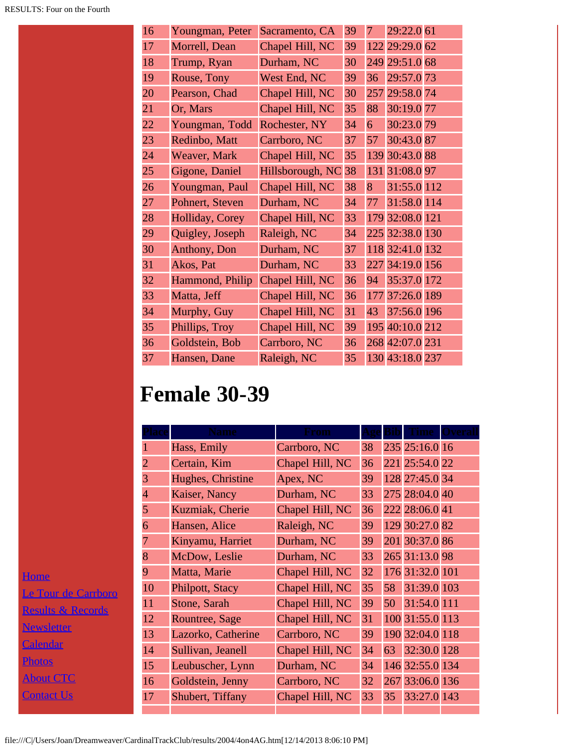**[Home](file:///home.html)** Le To Resul News Calen <u>Photo</u> <u>Abou</u> <u>Conta</u>

| 16 | Youngman, Peter      | Sacramento, CA   | 39 | 7   | 29:22.0 61      |    |
|----|----------------------|------------------|----|-----|-----------------|----|
| 17 | Morrell, Dean        | Chapel Hill, NC  | 39 |     | 122 29:29.0 62  |    |
| 18 | Trump, Ryan          | Durham, NC       | 30 | 249 | 29:51.0         | 68 |
| 19 | Rouse, Tony          | West End, NC     | 39 | 36  | 29:57.0 73      |    |
| 20 | Pearson, Chad        | Chapel Hill, NC  | 30 |     | 257 29:58.0 74  |    |
| 21 | Or, Mars             | Chapel Hill, NC  | 35 | 88  | 30:19.0         | 77 |
| 22 | Youngman, Todd       | Rochester, NY    | 34 | 6   | 30:23.0 79      |    |
| 23 | Redinbo, Matt        | Carrboro, NC     | 37 | 57  | 30:43.087       |    |
| 24 | Weaver, Mark         | Chapel Hill, NC  | 35 |     | 139 30:43.0 88  |    |
| 25 | Gigone, Daniel       | Hillsborough, NC | 38 | 131 | 31:08.0 97      |    |
| 26 | Youngman, Paul       | Chapel Hill, NC  | 38 | 8   | 31:55.0 112     |    |
| 27 | Pohnert, Steven      | Durham, NC       | 34 | 77  | 31:58.0 114     |    |
| 28 | Holliday, Corey      | Chapel Hill, NC  | 33 |     | 179 32:08.0 121 |    |
| 29 | Quigley, Joseph      | Raleigh, NC      | 34 |     | 225 32:38.0 130 |    |
| 30 | <b>Anthony</b> , Don | Durham, NC       | 37 |     | 118 32:41.0 132 |    |
| 31 | Akos, Pat            | Durham, NC       | 33 |     | 227 34:19.0 156 |    |
| 32 | Hammond, Philip      | Chapel Hill, NC  | 36 | 94  | 35:37.0 172     |    |
| 33 | Matta, Jeff          | Chapel Hill, NC  | 36 | 177 | 37:26.0 189     |    |
| 34 | Murphy, Guy          | Chapel Hill, NC  | 31 | 43  | 37:56.0 196     |    |
| 35 | Phillips, Troy       | Chapel Hill, NC  | 39 |     | 195 40:10.0 212 |    |
| 36 | Goldstein, Bob       | Carrboro, NC     | 36 |     | 268 42:07.0 231 |    |
| 37 | Hansen, Dane         | Raleigh, NC      | 35 |     | 130 43:18.0 237 |    |

### **Female 30-39**

|                       |                |                    | ⊀rom            |    |    |                 |  |
|-----------------------|----------------|--------------------|-----------------|----|----|-----------------|--|
|                       |                | Hass, Emily        | Carrboro, NC    | 38 |    | 235 25:16.0 16  |  |
|                       | $\overline{2}$ | Certain, Kim       | Chapel Hill, NC | 36 |    | 221 25:54.0 22  |  |
|                       | 3              | Hughes, Christine  | Apex, NC        | 39 |    | 128 27:45.0 34  |  |
|                       | $\overline{4}$ | Kaiser, Nancy      | Durham, NC      | 33 |    | 275 28:04.0 40  |  |
|                       | 5              | Kuzmiak, Cherie    | Chapel Hill, NC | 36 |    | 222 28:06.0 41  |  |
|                       | 6              | Hansen, Alice      | Raleigh, NC     | 39 |    | 129 30:27.0 82  |  |
|                       |                | Kinyamu, Harriet   | Durham, NC      | 39 |    | 201 30:37.0 86  |  |
|                       | 8              | McDow, Leslie      | Durham, NC      | 33 |    | 265 31:13.0 98  |  |
|                       | 9              | Matta, Marie       | Chapel Hill, NC | 32 |    | 176 31:32.0 101 |  |
| <u>ur de Carrboro</u> | 10             | Philpott, Stacy    | Chapel Hill, NC | 35 | 58 | 31:39.0 103     |  |
| s & Records           | 11             | Stone, Sarah       | Chapel Hill, NC | 39 | 50 | 31:54.0 111     |  |
|                       | 12             | Rountree, Sage     | Chapel Hill, NC | 31 |    | 100 31:55.0 113 |  |
| <u>etter</u>          | 13             | Lazorko, Catherine | Carrboro, NC    | 39 |    | 190 32:04.0 118 |  |
| <u>lar</u>            | 14             | Sullivan, Jeanell  | Chapel Hill, NC | 34 | 63 | 32:30.0 128     |  |
|                       | 15             | Leubuscher, Lynn   | Durham, NC      | 34 |    | 146 32:55.0 134 |  |
| $\operatorname{CTC}$  | 16             | Goldstein, Jenny   | Carrboro, NC    | 32 |    | 267 33:06.0 136 |  |
| <u>t Us</u>           | 17             | Shubert, Tiffany   | Chapel Hill, NC | 33 | 35 | 33:27.0 143     |  |
|                       |                |                    |                 |    |    |                 |  |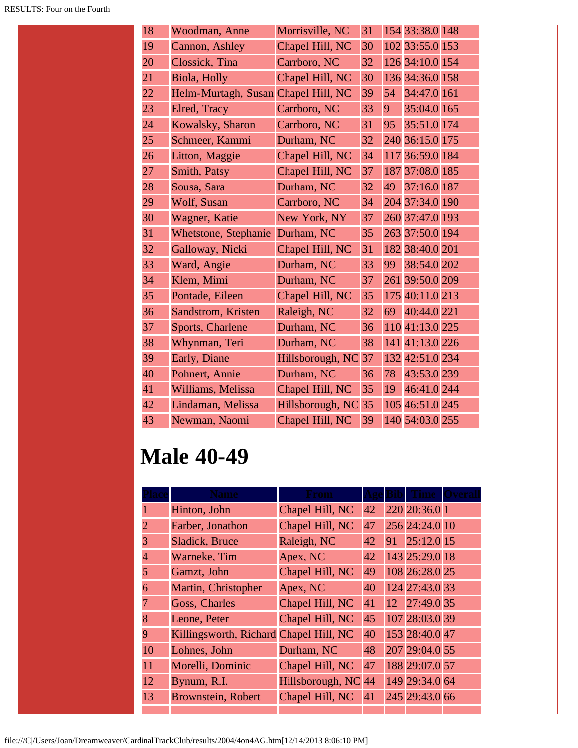| 18 | Woodman, Anne                       | Morrisville, NC  | 31 |     | 154 33:38.0 148 |  |
|----|-------------------------------------|------------------|----|-----|-----------------|--|
| 19 | Cannon, Ashley                      | Chapel Hill, NC  | 30 |     | 102 33:55.0 153 |  |
| 20 | Clossick, Tina                      | Carrboro, NC     | 32 |     | 126 34:10.0 154 |  |
| 21 | Biola, Holly                        | Chapel Hill, NC  | 30 |     | 136 34:36.0 158 |  |
| 22 | Helm-Murtagh, Susan Chapel Hill, NC |                  | 39 | 54  | 34:47.0 161     |  |
| 23 | Elred, Tracy                        | Carrboro, NC     | 33 | 9   | 35:04.0 165     |  |
| 24 | Kowalsky, Sharon                    | Carrboro, NC     | 31 | 95  | 35:51.0 174     |  |
| 25 | Schmeer, Kammi                      | Durham, NC       | 32 |     | 240 36:15.0 175 |  |
| 26 | Litton, Maggie                      | Chapel Hill, NC  | 34 | 117 | 36:59.0 184     |  |
| 27 | Smith, Patsy                        | Chapel Hill, NC  | 37 | 187 | 37:08.0 185     |  |
| 28 | Sousa, Sara                         | Durham, NC       | 32 | 49  | 37:16.0 187     |  |
| 29 | Wolf, Susan                         | Carrboro, NC     | 34 |     | 204 37:34.0 190 |  |
| 30 | Wagner, Katie                       | New York, NY     | 37 |     | 260 37:47.0 193 |  |
| 31 | Whetstone, Stephanie                | Durham, NC       | 35 |     | 263 37:50.0 194 |  |
| 32 | Galloway, Nicki                     | Chapel Hill, NC  | 31 |     | 182 38:40.0 201 |  |
| 33 | Ward, Angie                         | Durham, NC       | 33 | 99  | 38:54.0 202     |  |
| 34 | Klem, Mimi                          | Durham, NC       | 37 | 261 | 39:50.0 209     |  |
| 35 | Pontade, Eileen                     | Chapel Hill, NC  | 35 |     | 175 40:11.0 213 |  |
| 36 | Sandstrom, Kristen                  | Raleigh, NC      | 32 | 69  | 40:44.0 221     |  |
| 37 | Sports, Charlene                    | Durham, NC       | 36 |     | 110 41:13.0 225 |  |
| 38 | Whynman, Teri                       | Durham, NC       | 38 |     | 141 41:13.0 226 |  |
| 39 | Early, Diane                        | Hillsborough, NC | 37 |     | 132 42:51.0 234 |  |
| 40 | Pohnert, Annie                      | Durham, NC       | 36 | 78  | 43:53.0 239     |  |
| 41 | Williams, Melissa                   | Chapel Hill, NC  | 35 | 19  | 46:41.0 244     |  |
| 42 | Lindaman, Melissa                   | Hillsborough, NC | 35 |     | 105 46:51.0 245 |  |
| 43 | Newman, Naomi                       | Chapel Hill, NC  | 39 |     | 140 54:03.0 255 |  |

# **Male 40-49**

|                | Name                                   | From             |    |                |  |
|----------------|----------------------------------------|------------------|----|----------------|--|
|                | Hinton, John                           | Chapel Hill, NC  | 42 | 220 20:36.0 1  |  |
| 2              | Farber, Jonathon                       | Chapel Hill, NC  | 47 | 256 24:24.0 10 |  |
| 3              | Sladick, Bruce                         | Raleigh, NC      | 42 | 91 25:12.0 15  |  |
| $\overline{4}$ | Warneke, Tim                           | Apex, NC         | 42 | 143 25:29.0 18 |  |
| 5              | Gamzt, John                            | Chapel Hill, NC  | 49 | 108 26:28.0 25 |  |
| 6              | Martin, Christopher                    | Apex, NC         | 40 | 124 27:43.0 33 |  |
|                | Goss, Charles                          | Chapel Hill, NC  | 41 | 12 27:49.0 35  |  |
| 8              | Leone, Peter                           | Chapel Hill, NC  | 45 | 107 28:03.0 39 |  |
| 9              | Killingsworth, Richard Chapel Hill, NC |                  | 40 | 153 28:40.0 47 |  |
| 10             | Lohnes, John                           | Durham, NC       | 48 | 207 29:04.0 55 |  |
| 11             | Morelli, Dominic                       | Chapel Hill, NC  | 47 | 188 29:07.0 57 |  |
| 12             | Bynum, R.I.                            | Hillsborough, NC | 44 | 149 29:34.0 64 |  |
| 13             | <b>Brownstein, Robert</b>              | Chapel Hill, NC  | 41 | 245 29:43.0 66 |  |
|                |                                        |                  |    |                |  |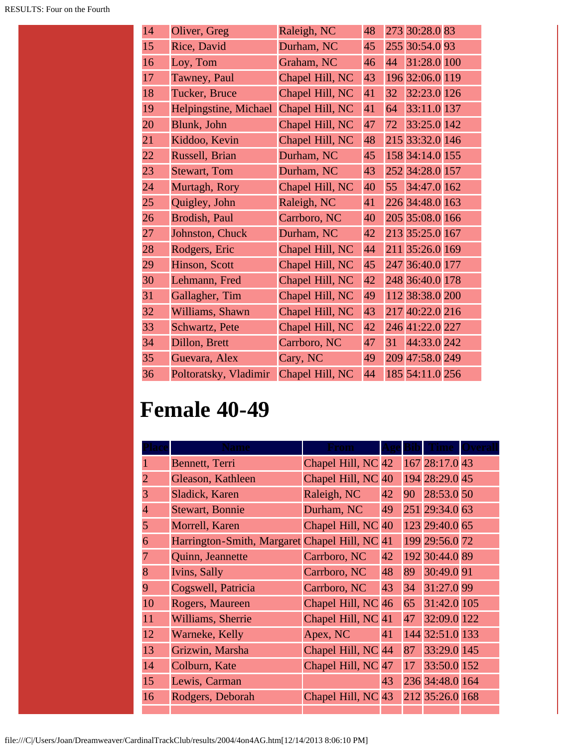| 14 | Oliver, Greg          | Raleigh, NC     | 48 |    | 273 30:28.0 83  |  |
|----|-----------------------|-----------------|----|----|-----------------|--|
| 15 | Rice, David           | Durham, NC      | 45 |    | 255 30:54.0 93  |  |
| 16 | Loy, Tom              | Graham, NC      | 46 | 44 | 31:28.0 100     |  |
| 17 | Tawney, Paul          | Chapel Hill, NC | 43 |    | 196 32:06.0 119 |  |
| 18 | Tucker, Bruce         | Chapel Hill, NC | 41 | 32 | 32:23.0 126     |  |
| 19 | Helpingstine, Michael | Chapel Hill, NC | 41 | 64 | 33:11.0 137     |  |
| 20 | Blunk, John           | Chapel Hill, NC | 47 | 72 | 33:25.0 142     |  |
| 21 | Kiddoo, Kevin         | Chapel Hill, NC | 48 |    | 215 33:32.0 146 |  |
| 22 | Russell, Brian        | Durham, NC      | 45 |    | 158 34:14.0 155 |  |
| 23 | <b>Stewart</b> , Tom  | Durham, NC      | 43 |    | 252 34:28.0 157 |  |
| 24 | Murtagh, Rory         | Chapel Hill, NC | 40 | 55 | 34:47.0 162     |  |
| 25 | Quigley, John         | Raleigh, NC     | 41 |    | 226 34:48.0 163 |  |
| 26 | Brodish, Paul         | Carrboro, NC    | 40 |    | 205 35:08.0 166 |  |
| 27 | Johnston, Chuck       | Durham, NC      | 42 |    | 213 35:25.0 167 |  |
| 28 | Rodgers, Eric         | Chapel Hill, NC | 44 |    | 211 35:26.0 169 |  |
| 29 | Hinson, Scott         | Chapel Hill, NC | 45 |    | 247 36:40.0 177 |  |
| 30 | Lehmann, Fred         | Chapel Hill, NC | 42 |    | 248 36:40.0 178 |  |
| 31 | Gallagher, Tim        | Chapel Hill, NC | 49 |    | 112 38:38.0 200 |  |
| 32 | Williams, Shawn       | Chapel Hill, NC | 43 |    | 217 40:22.0 216 |  |
| 33 | Schwartz, Pete        | Chapel Hill, NC | 42 |    | 246 41:22.0 227 |  |
| 34 | Dillon, Brett         | Carrboro, NC    | 47 | 31 | 44:33.0 242     |  |
| 35 | Guevara, Alex         | Cary, NC        | 49 |    | 209 47:58.0 249 |  |
| 36 | Poltoratsky, Vladimir | Chapel Hill, NC | 44 |    | 185 54:11.0 256 |  |

# **Female 40-49**

|                | Name                                       | krom               |    |    |                 |  |
|----------------|--------------------------------------------|--------------------|----|----|-----------------|--|
|                | Bennett, Terri                             | Chapel Hill, NC 42 |    |    | 167 28:17.0 43  |  |
| $\overline{2}$ | Gleason, Kathleen                          | Chapel Hill, NC 40 |    |    | 194 28:29.0 45  |  |
| 3              | Sladick, Karen                             | Raleigh, NC        | 42 | 90 | 28:53.0 50      |  |
| $\overline{4}$ | <b>Stewart, Bonnie</b>                     | Durham, NC         | 49 |    | 251 29:34.0 63  |  |
| 5              | Morrell, Karen                             | Chapel Hill, NC    | 40 |    | 123 29:40.0 65  |  |
| 6              | Harrington-Smith, Margaret Chapel Hill, NC |                    | 41 |    | 199 29:56.0 72  |  |
| 7              | Quinn, Jeannette                           | Carrboro, NC       | 42 |    | 192 30:44.0 89  |  |
| 8              | Ivins, Sally                               | Carrboro, NC       | 48 | 89 | 30:49.091       |  |
| 9              | Cogswell, Patricia                         | Carrboro, NC       | 43 | 34 | 31:27.0 99      |  |
| 10             | Rogers, Maureen                            | Chapel Hill, NC    | 46 | 65 | 31:42.0 105     |  |
| 11             | Williams, Sherrie                          | Chapel Hill, NC 41 |    | 47 | 32:09.0 122     |  |
| 12             | Warneke, Kelly                             | Apex, NC           | 41 |    | 144 32:51.0 133 |  |
| 13             | Grizwin, Marsha                            | Chapel Hill, NC 44 |    | 87 | 33:29.0 145     |  |
| 14             | Colburn, Kate                              | Chapel Hill, NC    | 47 | 17 | 33:50.0 152     |  |
| 15             | Lewis, Carman                              |                    | 43 |    | 236 34:48.0 164 |  |
| 16             | Rodgers, Deborah                           | Chapel Hill, NC 43 |    |    | 212 35:26.0 168 |  |
|                |                                            |                    |    |    |                 |  |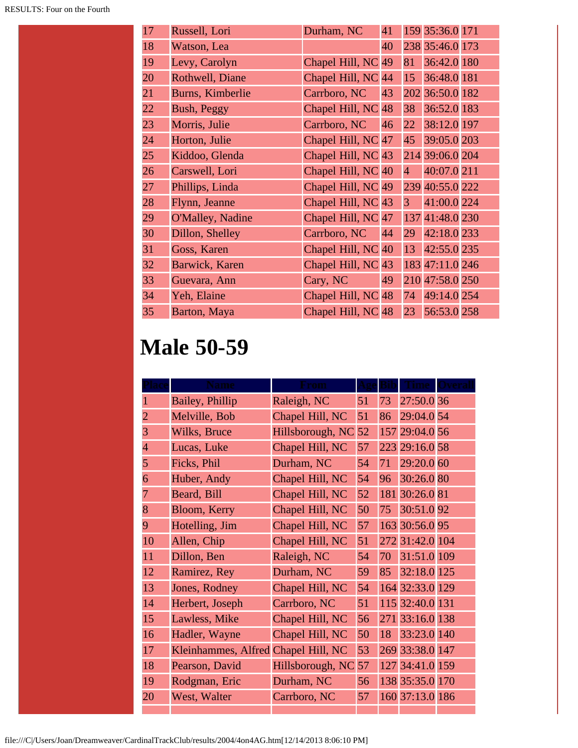| 17 | Russell, Lori      | Durham, NC           | 41 |                | 159 35:36.0 171 |  |
|----|--------------------|----------------------|----|----------------|-----------------|--|
| 18 | Watson, Lea        |                      | 40 |                | 238 35:46.0 173 |  |
| 19 | Levy, Carolyn      | Chapel Hill, NC      | 49 | 81             | 36:42.0 180     |  |
| 20 | Rothwell, Diane    | Chapel Hill, NC 44   |    | 15             | 36:48.0 181     |  |
| 21 | Burns, Kimberlie   | Carrboro, NC         | 43 |                | 202 36:50.0 182 |  |
| 22 | <b>Bush, Peggy</b> | Chapel Hill, NC 48   |    | 38             | 36:52.0 183     |  |
| 23 | Morris, Julie      | Carrboro, NC         | 46 | 22             | 38:12.0 197     |  |
| 24 | Horton, Julie      | Chapel Hill, $NC$ 47 |    | 45             | 39:05.0 203     |  |
| 25 | Kiddoo, Glenda     | Chapel Hill, NC 43   |    |                | 214 39:06.0 204 |  |
| 26 | Carswell, Lori     | Chapel Hill, NC 40   |    | $\overline{4}$ | 40:07.0 211     |  |
| 27 | Phillips, Linda    | Chapel Hill, NC 49   |    |                | 239 40:55.0 222 |  |
| 28 | Flynn, Jeanne      | Chapel Hill, NC 43   |    | 3 <sup>1</sup> | 41:00.0 224     |  |
| 29 | O'Malley, Nadine   | Chapel Hill, NC 47   |    |                | 137 41:48.0 230 |  |
| 30 | Dillon, Shelley    | Carrboro, NC         | 44 | 29             | 42:18.0 233     |  |
| 31 | Goss, Karen        | Chapel Hill, NC 40   |    | 13             | 42:55.0 235     |  |
| 32 | Barwick, Karen     | Chapel Hill, $NC$ 43 |    |                | 183 47:11.0 246 |  |
| 33 | Guevara, Ann       | Cary, NC             | 49 |                | 210 47:58.0 250 |  |
| 34 | Yeh, Elaine        | Chapel Hill, NC 48   |    | 74             | 49:14.0 254     |  |
| 35 | Barton, Maya       | Chapel Hill, NC 48   |    | 23             | 56:53.0 258     |  |

### **Male 50-59**

|                | vame                                |                  |    |     |                 |  |
|----------------|-------------------------------------|------------------|----|-----|-----------------|--|
|                | Bailey, Phillip                     | Raleigh, NC      | 51 | 73  | 27:50.0 36      |  |
| $\overline{2}$ | Melville, Bob                       | Chapel Hill, NC  | 51 | 86  | 29:04.0 54      |  |
| 3              | Wilks, Bruce                        | Hillsborough, NC | 52 |     | 157 29:04.0 56  |  |
| $\overline{4}$ | Lucas, Luke                         | Chapel Hill, NC  | 57 | 223 | 29:16.0 58      |  |
| 5              | Ficks, Phil                         | Durham, NC       | 54 | 71  | 29:20.0 60      |  |
| 6              | Huber, Andy                         | Chapel Hill, NC  | 54 | 96  | 30:26.0 80      |  |
| 7              | Beard, Bill                         | Chapel Hill, NC  | 52 |     | 181 30:26.0 81  |  |
| 8              | Bloom, Kerry                        | Chapel Hill, NC  | 50 | 75  | 30:51.092       |  |
| 9              | Hotelling, Jim                      | Chapel Hill, NC  | 57 |     | 163 30:56.0 95  |  |
| 10             | Allen, Chip                         | Chapel Hill, NC  | 51 |     | 272 31:42.0 104 |  |
| 11             | Dillon, Ben                         | Raleigh, NC      | 54 | 70  | 31:51.0 109     |  |
| 12             | Ramirez, Rey                        | Durham, NC       | 59 | 85  | 32:18.0 125     |  |
| 13             | Jones, Rodney                       | Chapel Hill, NC  | 54 |     | 164 32:33.0 129 |  |
| 14             | Herbert, Joseph                     | Carrboro, NC     | 51 |     | 115 32:40.0 131 |  |
| 15             | Lawless, Mike                       | Chapel Hill, NC  | 56 | 271 | 33:16.0 138     |  |
| 16             | Hadler, Wayne                       | Chapel Hill, NC  | 50 | 18  | 33:23.0 140     |  |
| 17             | Kleinhammes, Alfred Chapel Hill, NC |                  | 53 |     | 269 33:38.0 147 |  |
| 18             | Pearson, David                      | Hillsborough, NC | 57 |     | 127 34:41.0 159 |  |
| 19             | Rodgman, Eric                       | Durham, NC       | 56 |     | 138 35:35.0 170 |  |
| 20             | West, Walter                        | Carrboro, NC     | 57 |     | 160 37:13.0 186 |  |
|                |                                     |                  |    |     |                 |  |